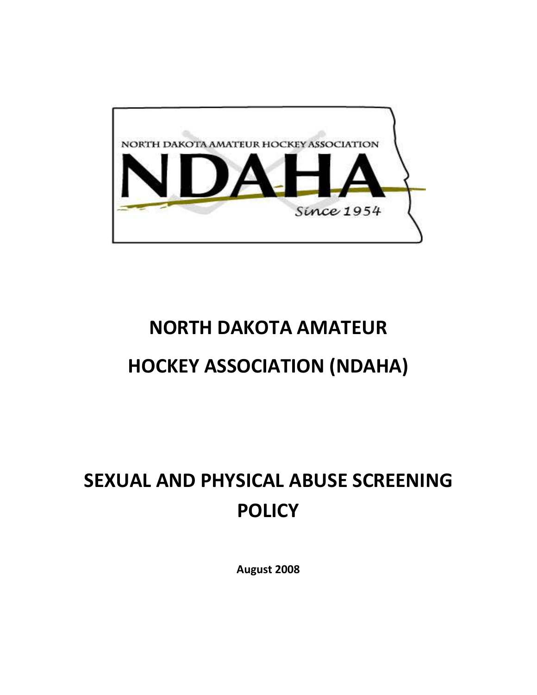

## **NORTH DAKOTA AMATEUR**

## **HOCKEY ASSOCIATION (NDAHA)**

# **SEXUAL AND PHYSICAL ABUSE SCREENING POLICY**

**August 2008**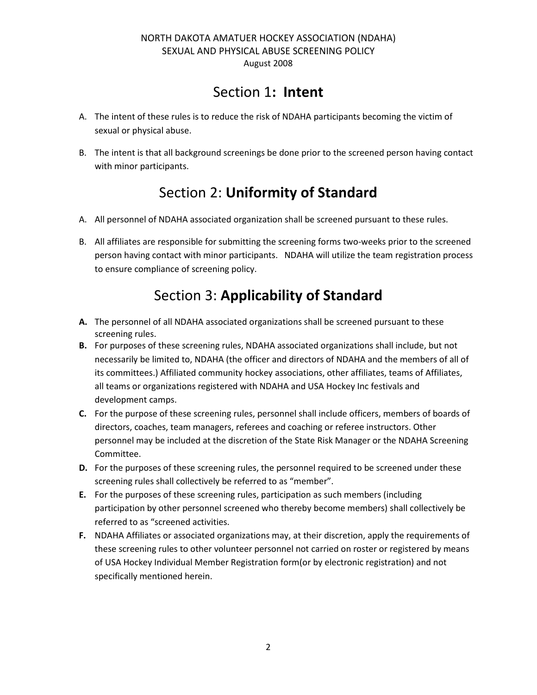### Section 1**: Intent**

- A. The intent of these rules is to reduce the risk of NDAHA participants becoming the victim of sexual or physical abuse.
- B. The intent is that all background screenings be done prior to the screened person having contact with minor participants.

### Section 2: **Uniformity of Standard**

- A. All personnel of NDAHA associated organization shall be screened pursuant to these rules.
- B. All affiliates are responsible for submitting the screening forms two-weeks prior to the screened person having contact with minor participants. NDAHA will utilize the team registration process to ensure compliance of screening policy.

### Section 3: **Applicability of Standard**

- **A.** The personnel of all NDAHA associated organizations shall be screened pursuant to these screening rules.
- **B.** For purposes of these screening rules, NDAHA associated organizations shall include, but not necessarily be limited to, NDAHA (the officer and directors of NDAHA and the members of all of its committees.) Affiliated community hockey associations, other affiliates, teams of Affiliates, all teams or organizations registered with NDAHA and USA Hockey Inc festivals and development camps.
- **C.** For the purpose of these screening rules, personnel shall include officers, members of boards of directors, coaches, team managers, referees and coaching or referee instructors. Other personnel may be included at the discretion of the State Risk Manager or the NDAHA Screening Committee.
- **D.** For the purposes of these screening rules, the personnel required to be screened under these screening rules shall collectively be referred to as "member".
- **E.** For the purposes of these screening rules, participation as such members (including participation by other personnel screened who thereby become members) shall collectively be referred to as "screened activities.
- **F.** NDAHA Affiliates or associated organizations may, at their discretion, apply the requirements of these screening rules to other volunteer personnel not carried on roster or registered by means of USA Hockey Individual Member Registration form(or by electronic registration) and not specifically mentioned herein.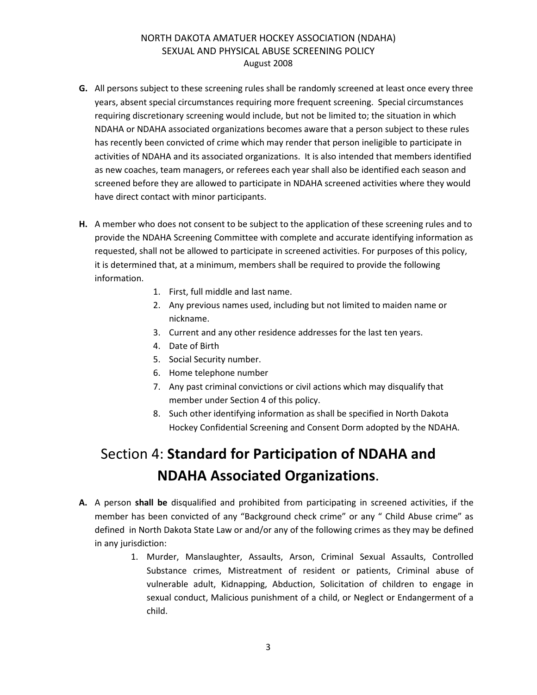- **G.** All persons subject to these screening rules shall be randomly screened at least once every three years, absent special circumstances requiring more frequent screening. Special circumstances requiring discretionary screening would include, but not be limited to; the situation in which NDAHA or NDAHA associated organizations becomes aware that a person subject to these rules has recently been convicted of crime which may render that person ineligible to participate in activities of NDAHA and its associated organizations. It is also intended that members identified as new coaches, team managers, or referees each year shall also be identified each season and screened before they are allowed to participate in NDAHA screened activities where they would have direct contact with minor participants.
- **H.** A member who does not consent to be subject to the application of these screening rules and to provide the NDAHA Screening Committee with complete and accurate identifying information as requested, shall not be allowed to participate in screened activities. For purposes of this policy, it is determined that, at a minimum, members shall be required to provide the following information.
	- 1. First, full middle and last name.
	- 2. Any previous names used, including but not limited to maiden name or nickname.
	- 3. Current and any other residence addresses for the last ten years.
	- 4. Date of Birth
	- 5. Social Security number.
	- 6. Home telephone number
	- 7. Any past criminal convictions or civil actions which may disqualify that member under Section 4 of this policy.
	- 8. Such other identifying information as shall be specified in North Dakota Hockey Confidential Screening and Consent Dorm adopted by the NDAHA.

### Section 4: **Standard for Participation of NDAHA and NDAHA Associated Organizations**.

- **A.** A person **shall be** disqualified and prohibited from participating in screened activities, if the member has been convicted of any "Background check crime" or any " Child Abuse crime" as defined in North Dakota State Law or and/or any of the following crimes as they may be defined in any jurisdiction:
	- 1. Murder, Manslaughter, Assaults, Arson, Criminal Sexual Assaults, Controlled Substance crimes, Mistreatment of resident or patients, Criminal abuse of vulnerable adult, Kidnapping, Abduction, Solicitation of children to engage in sexual conduct, Malicious punishment of a child, or Neglect or Endangerment of a child.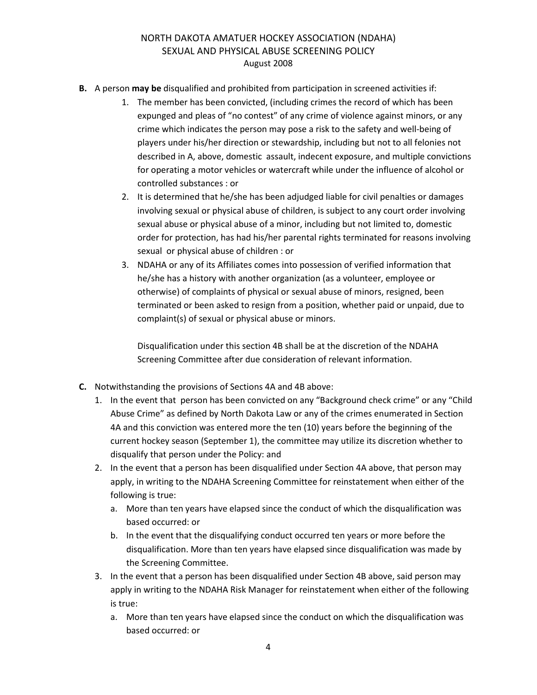- **B.** A person **may be** disqualified and prohibited from participation in screened activities if:
	- 1. The member has been convicted, (including crimes the record of which has been expunged and pleas of "no contest" of any crime of violence against minors, or any crime which indicates the person may pose a risk to the safety and well-being of players under his/her direction or stewardship, including but not to all felonies not described in A, above, domestic assault, indecent exposure, and multiple convictions for operating a motor vehicles or watercraft while under the influence of alcohol or controlled substances : or
	- 2. It is determined that he/she has been adjudged liable for civil penalties or damages involving sexual or physical abuse of children, is subject to any court order involving sexual abuse or physical abuse of a minor, including but not limited to, domestic order for protection, has had his/her parental rights terminated for reasons involving sexual or physical abuse of children : or
	- 3. NDAHA or any of its Affiliates comes into possession of verified information that he/she has a history with another organization (as a volunteer, employee or otherwise) of complaints of physical or sexual abuse of minors, resigned, been terminated or been asked to resign from a position, whether paid or unpaid, due to complaint(s) of sexual or physical abuse or minors.

Disqualification under this section 4B shall be at the discretion of the NDAHA Screening Committee after due consideration of relevant information.

- **C.** Notwithstanding the provisions of Sections 4A and 4B above:
	- 1. In the event that person has been convicted on any "Background check crime" or any "Child Abuse Crime" as defined by North Dakota Law or any of the crimes enumerated in Section 4A and this conviction was entered more the ten (10) years before the beginning of the current hockey season (September 1), the committee may utilize its discretion whether to disqualify that person under the Policy: and
	- 2. In the event that a person has been disqualified under Section 4A above, that person may apply, in writing to the NDAHA Screening Committee for reinstatement when either of the following is true:
		- a. More than ten years have elapsed since the conduct of which the disqualification was based occurred: or
		- b. In the event that the disqualifying conduct occurred ten years or more before the disqualification. More than ten years have elapsed since disqualification was made by the Screening Committee.
	- 3. In the event that a person has been disqualified under Section 4B above, said person may apply in writing to the NDAHA Risk Manager for reinstatement when either of the following is true:
		- a. More than ten years have elapsed since the conduct on which the disqualification was based occurred: or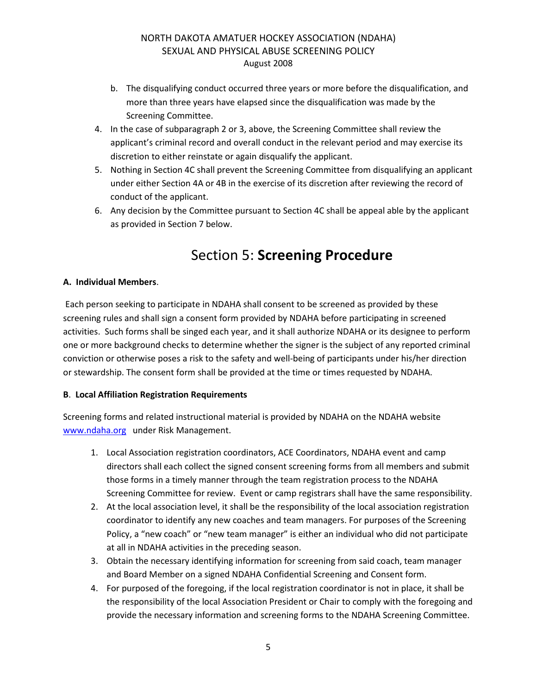- b. The disqualifying conduct occurred three years or more before the disqualification, and more than three years have elapsed since the disqualification was made by the Screening Committee.
- 4. In the case of subparagraph 2 or 3, above, the Screening Committee shall review the applicant's criminal record and overall conduct in the relevant period and may exercise its discretion to either reinstate or again disqualify the applicant.
- 5. Nothing in Section 4C shall prevent the Screening Committee from disqualifying an applicant under either Section 4A or 4B in the exercise of its discretion after reviewing the record of conduct of the applicant.
- 6. Any decision by the Committee pursuant to Section 4C shall be appeal able by the applicant as provided in Section 7 below.

### Section 5: **Screening Procedure**

#### **A. Individual Members**.

 Each person seeking to participate in NDAHA shall consent to be screened as provided by these screening rules and shall sign a consent form provided by NDAHA before participating in screened activities. Such forms shall be singed each year, and it shall authorize NDAHA or its designee to perform one or more background checks to determine whether the signer is the subject of any reported criminal conviction or otherwise poses a risk to the safety and well-being of participants under his/her direction or stewardship. The consent form shall be provided at the time or times requested by NDAHA.

#### **B**. **Local Affiliation Registration Requirements**

Screening forms and related instructional material is provided by NDAHA on the NDAHA website www.ndaha.org under Risk Management.

- 1. Local Association registration coordinators, ACE Coordinators, NDAHA event and camp directors shall each collect the signed consent screening forms from all members and submit those forms in a timely manner through the team registration process to the NDAHA Screening Committee for review. Event or camp registrars shall have the same responsibility.
- 2. At the local association level, it shall be the responsibility of the local association registration coordinator to identify any new coaches and team managers. For purposes of the Screening Policy, a "new coach" or "new team manager" is either an individual who did not participate at all in NDAHA activities in the preceding season.
- 3. Obtain the necessary identifying information for screening from said coach, team manager and Board Member on a signed NDAHA Confidential Screening and Consent form.
- 4. For purposed of the foregoing, if the local registration coordinator is not in place, it shall be the responsibility of the local Association President or Chair to comply with the foregoing and provide the necessary information and screening forms to the NDAHA Screening Committee.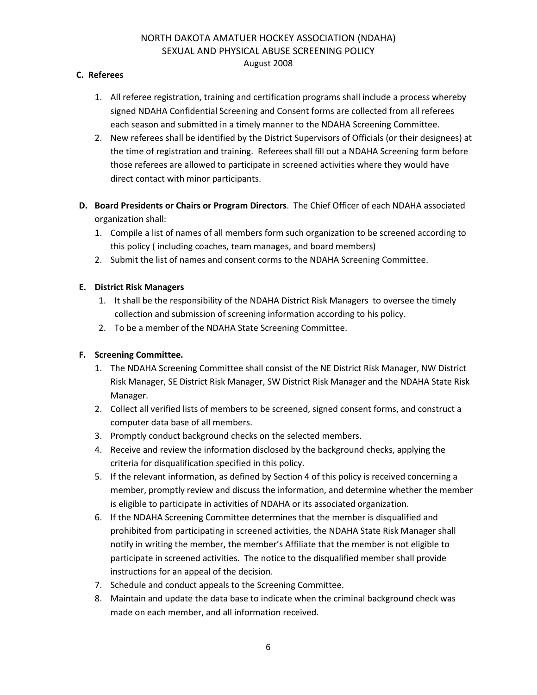#### **C. Referees**

- 1. All referee registration, training and certification programs shall include a process whereby signed NDAHA Confidential Screening and Consent forms are collected from all referees each season and submitted in a timely manner to the NDAHA Screening Committee.
- 2. New referees shall be identified by the District Supervisors of Officials (or their designees) at the time of registration and training. Referees shall fill out a NDAHA Screening form before those referees are allowed to participate in screened activities where they would have direct contact with minor participants.
- **D. Board Presidents or Chairs or Program Directors**. The Chief Officer of each NDAHA associated organization shall:
	- 1. Compile a list of names of all members form such organization to be screened according to this policy ( including coaches, team manages, and board members)
	- 2. Submit the list of names and consent corms to the NDAHA Screening Committee.

#### **E. District Risk Managers**

- 1. It shall be the responsibility of the NDAHA District Risk Managers to oversee the timely collection and submission of screening information according to his policy.
- 2. To be a member of the NDAHA State Screening Committee.

#### **F. Screening Committee.**

- 1. The NDAHA Screening Committee shall consist of the NE District Risk Manager, NW District Risk Manager, SE District Risk Manager, SW District Risk Manager and the NDAHA State Risk Manager.
- 2. Collect all verified lists of members to be screened, signed consent forms, and construct a computer data base of all members.
- 3. Promptly conduct background checks on the selected members.
- 4. Receive and review the information disclosed by the background checks, applying the criteria for disqualification specified in this policy.
- 5. If the relevant information, as defined by Section 4 of this policy is received concerning a member, promptly review and discuss the information, and determine whether the member is eligible to participate in activities of NDAHA or its associated organization.
- 6. If the NDAHA Screening Committee determines that the member is disqualified and prohibited from participating in screened activities, the NDAHA State Risk Manager shall notify in writing the member, the member's Affiliate that the member is not eligible to participate in screened activities. The notice to the disqualified member shall provide instructions for an appeal of the decision.
- 7. Schedule and conduct appeals to the Screening Committee.
- 8. Maintain and update the data base to indicate when the criminal background check was made on each member, and all information received.